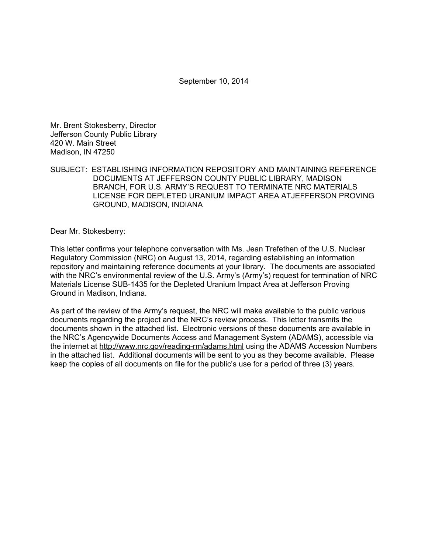September 10, 2014

Mr. Brent Stokesberry, Director Jefferson County Public Library 420 W. Main Street Madison, IN 47250

SUBJECT: ESTABLISHING INFORMATION REPOSITORY AND MAINTAINING REFERENCE DOCUMENTS AT JEFFERSON COUNTY PUBLIC LIBRARY, MADISON BRANCH, FOR U.S. ARMY'S REQUEST TO TERMINATE NRC MATERIALS LICENSE FOR DEPLETED URANIUM IMPACT AREA ATJEFFERSON PROVING GROUND, MADISON, INDIANA

Dear Mr. Stokesberry:

This letter confirms your telephone conversation with Ms. Jean Trefethen of the U.S. Nuclear Regulatory Commission (NRC) on August 13, 2014, regarding establishing an information repository and maintaining reference documents at your library. The documents are associated with the NRC's environmental review of the U.S. Army's (Army's) request for termination of NRC Materials License SUB-1435 for the Depleted Uranium Impact Area at Jefferson Proving Ground in Madison, Indiana.

As part of the review of the Army's request, the NRC will make available to the public various documents regarding the project and the NRC's review process. This letter transmits the documents shown in the attached list. Electronic versions of these documents are available in the NRC's Agencywide Documents Access and Management System (ADAMS), accessible via the internet at http://www.nrc.gov/reading-rm/adams.html using the ADAMS Accession Numbers in the attached list. Additional documents will be sent to you as they become available. Please keep the copies of all documents on file for the public's use for a period of three (3) years.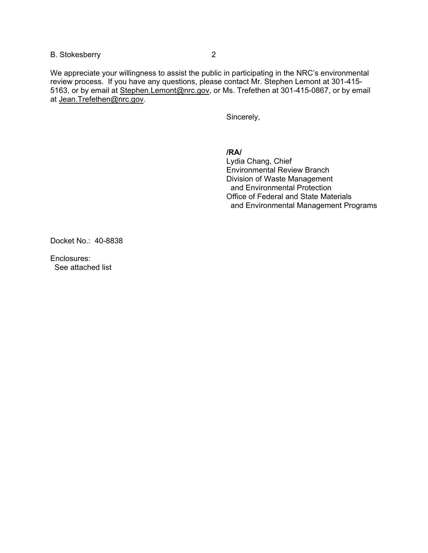## B. Stokesberry 2

We appreciate your willingness to assist the public in participating in the NRC's environmental review process. If you have any questions, please contact Mr. Stephen Lemont at 301-415- 5163, or by email at Stephen.Lemont@nrc.gov, or Ms. Trefethen at 301-415-0867, or by email at Jean.Trefethen@nrc.gov.

Sincerely,

**/RA/** 

Lydia Chang, Chief Environmental Review Branch Division of Waste Management and Environmental Protection Office of Federal and State Materials and Environmental Management Programs

Docket No.: 40-8838

Enclosures: See attached list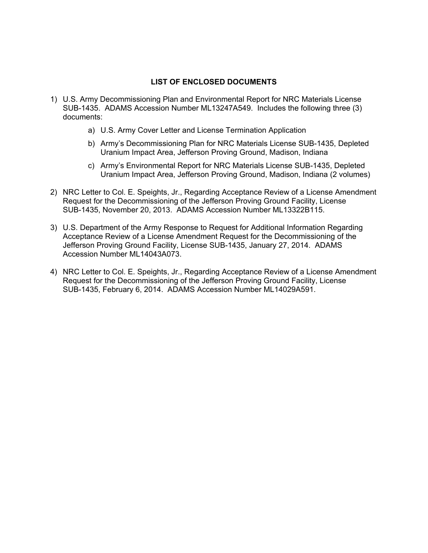## **LIST OF ENCLOSED DOCUMENTS**

- 1) U.S. Army Decommissioning Plan and Environmental Report for NRC Materials License SUB-1435. ADAMS Accession Number ML13247A549. Includes the following three (3) documents:
	- a) U.S. Army Cover Letter and License Termination Application
	- b) Army's Decommissioning Plan for NRC Materials License SUB-1435, Depleted Uranium Impact Area, Jefferson Proving Ground, Madison, Indiana
	- c) Army's Environmental Report for NRC Materials License SUB-1435, Depleted Uranium Impact Area, Jefferson Proving Ground, Madison, Indiana (2 volumes)
- 2) NRC Letter to Col. E. Speights, Jr., Regarding Acceptance Review of a License Amendment Request for the Decommissioning of the Jefferson Proving Ground Facility, License SUB-1435, November 20, 2013. ADAMS Accession Number ML13322B115.
- 3) U.S. Department of the Army Response to Request for Additional Information Regarding Acceptance Review of a License Amendment Request for the Decommissioning of the Jefferson Proving Ground Facility, License SUB-1435, January 27, 2014. ADAMS Accession Number ML14043A073.
- 4) NRC Letter to Col. E. Speights, Jr., Regarding Acceptance Review of a License Amendment Request for the Decommissioning of the Jefferson Proving Ground Facility, License SUB-1435, February 6, 2014. ADAMS Accession Number ML14029A591.